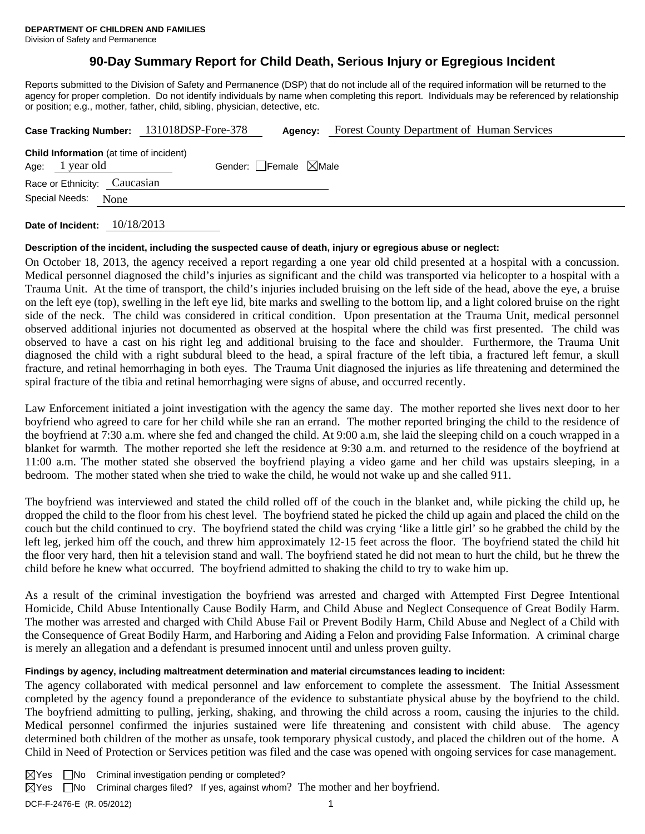# **90-Day Summary Report for Child Death, Serious Injury or Egregious Incident**

Reports submitted to the Division of Safety and Permanence (DSP) that do not include all of the required information will be returned to the agency for proper completion. Do not identify individuals by name when completing this report. Individuals may be referenced by relationship or position; e.g., mother, father, child, sibling, physician, detective, etc.

|                                                                   |  | Case Tracking Number: 131018DSP-Fore-378 | Agency:                         | <b>Forest County Department of Human Services</b> |  |  |
|-------------------------------------------------------------------|--|------------------------------------------|---------------------------------|---------------------------------------------------|--|--|
| <b>Child Information</b> (at time of incident)<br>Age: 1 year old |  |                                          | Gender: Female $\boxtimes$ Male |                                                   |  |  |
| Race or Ethnicity: Caucasian                                      |  |                                          |                                 |                                                   |  |  |
| Special Needs:<br>None                                            |  |                                          |                                 |                                                   |  |  |
|                                                                   |  |                                          |                                 |                                                   |  |  |

**Date of Incident:** 10/18/2013

## **Description of the incident, including the suspected cause of death, injury or egregious abuse or neglect:**

On October 18, 2013, the agency received a report regarding a one year old child presented at a hospital with a concussion. Medical personnel diagnosed the child's injuries as significant and the child was transported via helicopter to a hospital with a Trauma Unit. At the time of transport, the child's injuries included bruising on the left side of the head, above the eye, a bruise on the left eye (top), swelling in the left eye lid, bite marks and swelling to the bottom lip, and a light colored bruise on the right side of the neck. The child was considered in critical condition. Upon presentation at the Trauma Unit, medical personnel observed additional injuries not documented as observed at the hospital where the child was first presented. The child was observed to have a cast on his right leg and additional bruising to the face and shoulder. Furthermore, the Trauma Unit diagnosed the child with a right subdural bleed to the head, a spiral fracture of the left tibia, a fractured left femur, a skull fracture, and retinal hemorrhaging in both eyes. The Trauma Unit diagnosed the injuries as life threatening and determined the spiral fracture of the tibia and retinal hemorrhaging were signs of abuse, and occurred recently.

Law Enforcement initiated a joint investigation with the agency the same day. The mother reported she lives next door to her boyfriend who agreed to care for her child while she ran an errand. The mother reported bringing the child to the residence of the boyfriend at 7:30 a.m. where she fed and changed the child. At 9:00 a.m, she laid the sleeping child on a couch wrapped in a blanket for warmth. The mother reported she left the residence at 9:30 a.m. and returned to the residence of the boyfriend at 11:00 a.m. The mother stated she observed the boyfriend playing a video game and her child was upstairs sleeping, in a bedroom. The mother stated when she tried to wake the child, he would not wake up and she called 911.

The boyfriend was interviewed and stated the child rolled off of the couch in the blanket and, while picking the child up, he dropped the child to the floor from his chest level. The boyfriend stated he picked the child up again and placed the child on the couch but the child continued to cry. The boyfriend stated the child was crying 'like a little girl' so he grabbed the child by the left leg, jerked him off the couch, and threw him approximately 12-15 feet across the floor. The boyfriend stated the child hit the floor very hard, then hit a television stand and wall. The boyfriend stated he did not mean to hurt the child, but he threw the child before he knew what occurred. The boyfriend admitted to shaking the child to try to wake him up.

As a result of the criminal investigation the boyfriend was arrested and charged with Attempted First Degree Intentional Homicide, Child Abuse Intentionally Cause Bodily Harm, and Child Abuse and Neglect Consequence of Great Bodily Harm. The mother was arrested and charged with Child Abuse Fail or Prevent Bodily Harm, Child Abuse and Neglect of a Child with the Consequence of Great Bodily Harm, and Harboring and Aiding a Felon and providing False Information. A criminal charge is merely an allegation and a defendant is presumed innocent until and unless proven guilty.

# **Findings by agency, including maltreatment determination and material circumstances leading to incident:**

The agency collaborated with medical personnel and law enforcement to complete the assessment. The Initial Assessment completed by the agency found a preponderance of the evidence to substantiate physical abuse by the boyfriend to the child. The boyfriend admitting to pulling, jerking, shaking, and throwing the child across a room, causing the injuries to the child. Medical personnel confirmed the injuries sustained were life threatening and consistent with child abuse. The agency determined both children of the mother as unsafe, took temporary physical custody, and placed the children out of the home. A Child in Need of Protection or Services petition was filed and the case was opened with ongoing services for case management.

DCF-F-2476-E (R. 05/2012) 1  $\boxtimes$ Yes  $\Box$ No Criminal investigation pending or completed?  $\boxtimes$  Yes  $\Box$  No Criminal charges filed? If yes, against whom? The mother and her boyfriend.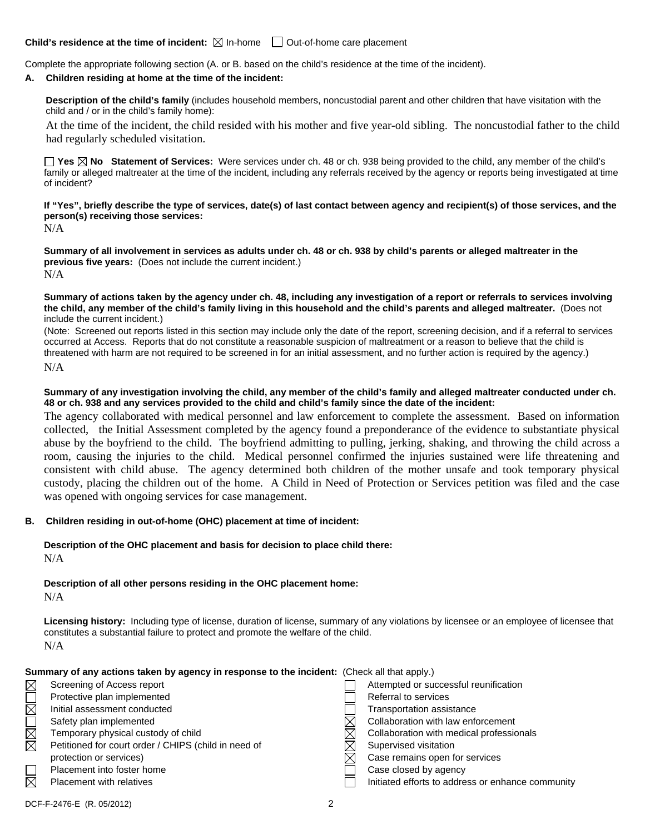## **Child's residence at the time of incident:**  $\boxtimes$  In-home  $\Box$  Out-of-home care placement

Complete the appropriate following section (A. or B. based on the child's residence at the time of the incident).

#### **A. Children residing at home at the time of the incident:**

**Description of the child's family** (includes household members, noncustodial parent and other children that have visitation with the child and / or in the child's family home):

 At the time of the incident, the child resided with his mother and five year-old sibling. The noncustodial father to the child had regularly scheduled visitation.

**Yes No Statement of Services:** Were services under ch. 48 or ch. 938 being provided to the child, any member of the child's family or alleged maltreater at the time of the incident, including any referrals received by the agency or reports being investigated at time of incident?

**If "Yes", briefly describe the type of services, date(s) of last contact between agency and recipient(s) of those services, and the person(s) receiving those services:**  N/A

**Summary of all involvement in services as adults under ch. 48 or ch. 938 by child's parents or alleged maltreater in the previous five years:** (Does not include the current incident.) N/A

**Summary of actions taken by the agency under ch. 48, including any investigation of a report or referrals to services involving the child, any member of the child's family living in this household and the child's parents and alleged maltreater.** (Does not include the current incident.)

(Note: Screened out reports listed in this section may include only the date of the report, screening decision, and if a referral to services occurred at Access. Reports that do not constitute a reasonable suspicion of maltreatment or a reason to believe that the child is threatened with harm are not required to be screened in for an initial assessment, and no further action is required by the agency.) N/A

#### **Summary of any investigation involving the child, any member of the child's family and alleged maltreater conducted under ch. 48 or ch. 938 and any services provided to the child and child's family since the date of the incident:**

The agency collaborated with medical personnel and law enforcement to complete the assessment. Based on information collected, the Initial Assessment completed by the agency found a preponderance of the evidence to substantiate physical abuse by the boyfriend to the child. The boyfriend admitting to pulling, jerking, shaking, and throwing the child across a room, causing the injuries to the child. Medical personnel confirmed the injuries sustained were life threatening and consistent with child abuse. The agency determined both children of the mother unsafe and took temporary physical custody, placing the children out of the home. A Child in Need of Protection or Services petition was filed and the case was opened with ongoing services for case management.

# **B. Children residing in out-of-home (OHC) placement at time of incident:**

# **Description of the OHC placement and basis for decision to place child there:** N/A

**Description of all other persons residing in the OHC placement home:** N/A

**Licensing history:** Including type of license, duration of license, summary of any violations by licensee or an employee of licensee that constitutes a substantial failure to protect and promote the welfare of the child. N/A

| Summary of any actions taken by agency in response to the incident: (Check all that apply.) |
|---------------------------------------------------------------------------------------------|
|---------------------------------------------------------------------------------------------|

| $\boxtimes$            | Screening of Access report                           |   | Attempted or successful reunification             |
|------------------------|------------------------------------------------------|---|---------------------------------------------------|
|                        | Protective plan implemented                          |   | Referral to services                              |
| $\overline{\boxtimes}$ | Initial assessment conducted                         |   | Transportation assistance                         |
|                        | Safety plan implemented                              |   | Collaboration with law enforcement                |
| $\boxtimes$            | Temporary physical custody of child                  | ⋉ | Collaboration with medical professionals          |
| ≅                      | Petitioned for court order / CHIPS (child in need of |   | Supervised visitation                             |
|                        | protection or services)                              | ⋉ | Case remains open for services                    |
|                        | Placement into foster home                           |   | Case closed by agency                             |
| ₹                      | <b>Placement with relatives</b>                      |   | Initiated efforts to address or enhance community |